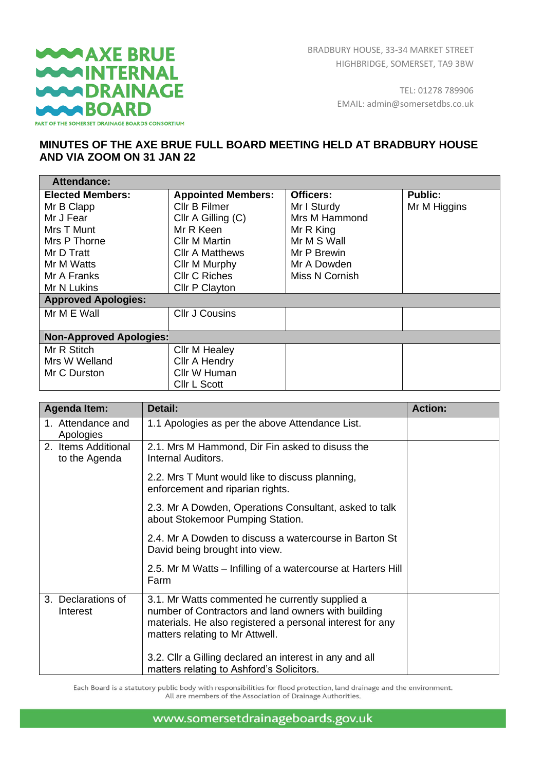## **WAAXE BRUE WARINTERNAL WARDRAINAGE WAABOARD** PART OF THE SOMERSET DRAINAGE BOARDS CONSORTIUM

TEL: 01278 789906 EMAIL: admin@somersetdbs.co.uk

## **MINUTES OF THE AXE BRUE FULL BOARD MEETING HELD AT BRADBURY HOUSE AND VIA ZOOM ON 31 JAN 22**

| <b>Attendance:</b>             |                           |                  |                |
|--------------------------------|---------------------------|------------------|----------------|
| <b>Elected Members:</b>        | <b>Appointed Members:</b> | <b>Officers:</b> | <b>Public:</b> |
| Mr B Clapp                     | Cllr B Filmer             | Mr I Sturdy      | Mr M Higgins   |
| Mr J Fear                      | Cllr A Gilling (C)        | Mrs M Hammond    |                |
| Mrs T Munt                     | Mr R Keen                 | Mr R King        |                |
| Mrs P Thorne                   | <b>Cllr M Martin</b>      | Mr M S Wall      |                |
| Mr D Tratt                     | <b>CIIr A Matthews</b>    | Mr P Brewin      |                |
| Mr M Watts                     | Cllr M Murphy             | Mr A Dowden      |                |
| Mr A Franks                    | <b>Cllr C Riches</b>      | Miss N Cornish   |                |
| Mr N Lukins                    | Cllr P Clayton            |                  |                |
| <b>Approved Apologies:</b>     |                           |                  |                |
| Mr M E Wall                    | <b>Cllr J Cousins</b>     |                  |                |
|                                |                           |                  |                |
| <b>Non-Approved Apologies:</b> |                           |                  |                |
| Mr R Stitch                    | Cllr M Healey             |                  |                |
| Mrs W Welland                  | Cllr A Hendry             |                  |                |
| Mr C Durston                   | Cllr W Human              |                  |                |
|                                | Cllr L Scott              |                  |                |

| <b>Agenda Item:</b>                  | Detail:                                                                                                                                                                                                | <b>Action:</b> |
|--------------------------------------|--------------------------------------------------------------------------------------------------------------------------------------------------------------------------------------------------------|----------------|
| 1. Attendance and<br>Apologies       | 1.1 Apologies as per the above Attendance List.                                                                                                                                                        |                |
| 2. Items Additional<br>to the Agenda | 2.1. Mrs M Hammond, Dir Fin asked to disuss the<br>Internal Auditors.                                                                                                                                  |                |
|                                      | 2.2. Mrs T Munt would like to discuss planning,<br>enforcement and riparian rights.                                                                                                                    |                |
|                                      | 2.3. Mr A Dowden, Operations Consultant, asked to talk<br>about Stokemoor Pumping Station.                                                                                                             |                |
|                                      | 2.4. Mr A Dowden to discuss a watercourse in Barton St<br>David being brought into view.                                                                                                               |                |
|                                      | 2.5. Mr M Watts – Infilling of a watercourse at Harters Hill<br>Farm                                                                                                                                   |                |
| 3. Declarations of<br>Interest       | 3.1. Mr Watts commented he currently supplied a<br>number of Contractors and land owners with building<br>materials. He also registered a personal interest for any<br>matters relating to Mr Attwell. |                |
|                                      | 3.2. Cllr a Gilling declared an interest in any and all<br>matters relating to Ashford's Solicitors.                                                                                                   |                |

Each Board is a statutory public body with responsibilities for flood protection, land drainage and the environment. All are members of the Association of Drainage Authorities.

www.somersetdrainageboards.gov.uk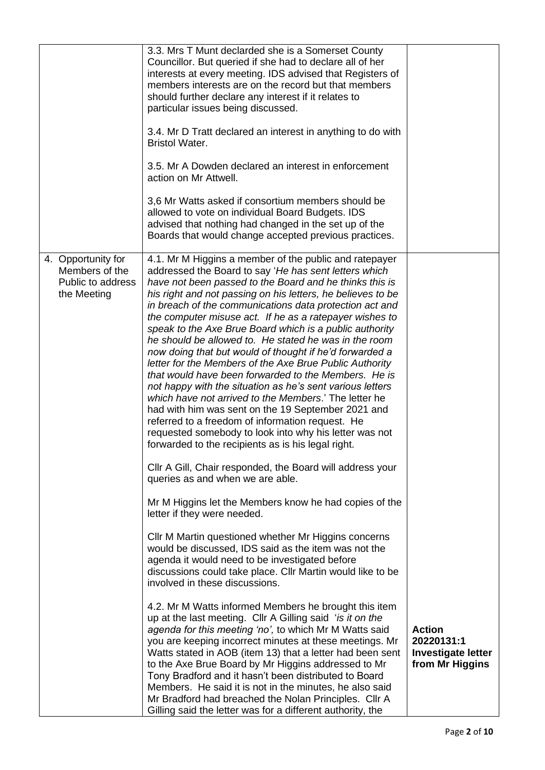|                                                                          | 3.3. Mrs T Munt declarded she is a Somerset County<br>Councillor. But queried if she had to declare all of her<br>interests at every meeting. IDS advised that Registers of<br>members interests are on the record but that members<br>should further declare any interest if it relates to<br>particular issues being discussed.<br>3.4. Mr D Tratt declared an interest in anything to do with<br><b>Bristol Water.</b><br>3.5. Mr A Dowden declared an interest in enforcement<br>action on Mr Attwell.<br>3,6 Mr Watts asked if consortium members should be<br>allowed to vote on individual Board Budgets. IDS<br>advised that nothing had changed in the set up of the<br>Boards that would change accepted previous practices.                                                                                                                                                                                                                                                                                                                                         |                                                                             |
|--------------------------------------------------------------------------|--------------------------------------------------------------------------------------------------------------------------------------------------------------------------------------------------------------------------------------------------------------------------------------------------------------------------------------------------------------------------------------------------------------------------------------------------------------------------------------------------------------------------------------------------------------------------------------------------------------------------------------------------------------------------------------------------------------------------------------------------------------------------------------------------------------------------------------------------------------------------------------------------------------------------------------------------------------------------------------------------------------------------------------------------------------------------------|-----------------------------------------------------------------------------|
| 4. Opportunity for<br>Members of the<br>Public to address<br>the Meeting | 4.1. Mr M Higgins a member of the public and ratepayer<br>addressed the Board to say 'He has sent letters which<br>have not been passed to the Board and he thinks this is<br>his right and not passing on his letters, he believes to be<br>in breach of the communications data protection act and<br>the computer misuse act. If he as a ratepayer wishes to<br>speak to the Axe Brue Board which is a public authority<br>he should be allowed to. He stated he was in the room<br>now doing that but would of thought if he'd forwarded a<br>letter for the Members of the Axe Brue Public Authority<br>that would have been forwarded to the Members. He is<br>not happy with the situation as he's sent various letters<br>which have not arrived to the Members.' The letter he<br>had with him was sent on the 19 September 2021 and<br>referred to a freedom of information request. He<br>requested somebody to look into why his letter was not<br>forwarded to the recipients as is his legal right.<br>Cllr A Gill, Chair responded, the Board will address your |                                                                             |
|                                                                          | queries as and when we are able.<br>Mr M Higgins let the Members know he had copies of the<br>letter if they were needed.<br>Cllr M Martin questioned whether Mr Higgins concerns<br>would be discussed, IDS said as the item was not the<br>agenda it would need to be investigated before<br>discussions could take place. Cllr Martin would like to be<br>involved in these discussions.                                                                                                                                                                                                                                                                                                                                                                                                                                                                                                                                                                                                                                                                                    |                                                                             |
|                                                                          | 4.2. Mr M Watts informed Members he brought this item<br>up at the last meeting. Cllr A Gilling said 'is it on the<br>agenda for this meeting 'no', to which Mr M Watts said<br>you are keeping incorrect minutes at these meetings. Mr<br>Watts stated in AOB (item 13) that a letter had been sent<br>to the Axe Brue Board by Mr Higgins addressed to Mr<br>Tony Bradford and it hasn't been distributed to Board<br>Members. He said it is not in the minutes, he also said<br>Mr Bradford had breached the Nolan Principles. Cllr A<br>Gilling said the letter was for a different authority, the                                                                                                                                                                                                                                                                                                                                                                                                                                                                         | <b>Action</b><br>20220131:1<br><b>Investigate letter</b><br>from Mr Higgins |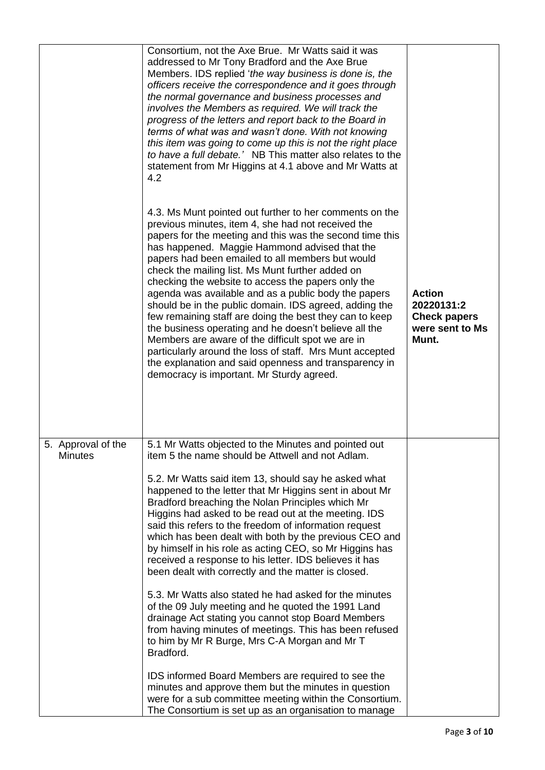|                                      | Consortium, not the Axe Brue. Mr Watts said it was<br>addressed to Mr Tony Bradford and the Axe Brue<br>Members. IDS replied 'the way business is done is, the<br>officers receive the correspondence and it goes through<br>the normal governance and business processes and<br>involves the Members as required. We will track the<br>progress of the letters and report back to the Board in<br>terms of what was and wasn't done. With not knowing<br>this item was going to come up this is not the right place<br>to have a full debate.' NB This matter also relates to the<br>statement from Mr Higgins at 4.1 above and Mr Watts at<br>4.2<br>4.3. Ms Munt pointed out further to her comments on the<br>previous minutes, item 4, she had not received the<br>papers for the meeting and this was the second time this<br>has happened. Maggie Hammond advised that the<br>papers had been emailed to all members but would<br>check the mailing list. Ms Munt further added on<br>checking the website to access the papers only the<br>agenda was available and as a public body the papers<br>should be in the public domain. IDS agreed, adding the<br>few remaining staff are doing the best they can to keep<br>the business operating and he doesn't believe all the<br>Members are aware of the difficult spot we are in<br>particularly around the loss of staff. Mrs Munt accepted<br>the explanation and said openness and transparency in<br>democracy is important. Mr Sturdy agreed. | <b>Action</b><br>20220131:2<br><b>Check papers</b><br>were sent to Ms<br>Munt. |
|--------------------------------------|--------------------------------------------------------------------------------------------------------------------------------------------------------------------------------------------------------------------------------------------------------------------------------------------------------------------------------------------------------------------------------------------------------------------------------------------------------------------------------------------------------------------------------------------------------------------------------------------------------------------------------------------------------------------------------------------------------------------------------------------------------------------------------------------------------------------------------------------------------------------------------------------------------------------------------------------------------------------------------------------------------------------------------------------------------------------------------------------------------------------------------------------------------------------------------------------------------------------------------------------------------------------------------------------------------------------------------------------------------------------------------------------------------------------------------------------------------------------------------------------------------------|--------------------------------------------------------------------------------|
| 5. Approval of the<br><b>Minutes</b> | 5.1 Mr Watts objected to the Minutes and pointed out<br>item 5 the name should be Attwell and not Adlam.<br>5.2. Mr Watts said item 13, should say he asked what<br>happened to the letter that Mr Higgins sent in about Mr<br>Bradford breaching the Nolan Principles which Mr<br>Higgins had asked to be read out at the meeting. IDS<br>said this refers to the freedom of information request<br>which has been dealt with both by the previous CEO and<br>by himself in his role as acting CEO, so Mr Higgins has<br>received a response to his letter. IDS believes it has<br>been dealt with correctly and the matter is closed.<br>5.3. Mr Watts also stated he had asked for the minutes<br>of the 09 July meeting and he quoted the 1991 Land<br>drainage Act stating you cannot stop Board Members<br>from having minutes of meetings. This has been refused<br>to him by Mr R Burge, Mrs C-A Morgan and Mr T<br>Bradford.<br>IDS informed Board Members are required to see the<br>minutes and approve them but the minutes in question<br>were for a sub committee meeting within the Consortium.<br>The Consortium is set up as an organisation to manage                                                                                                                                                                                                                                                                                                                                      |                                                                                |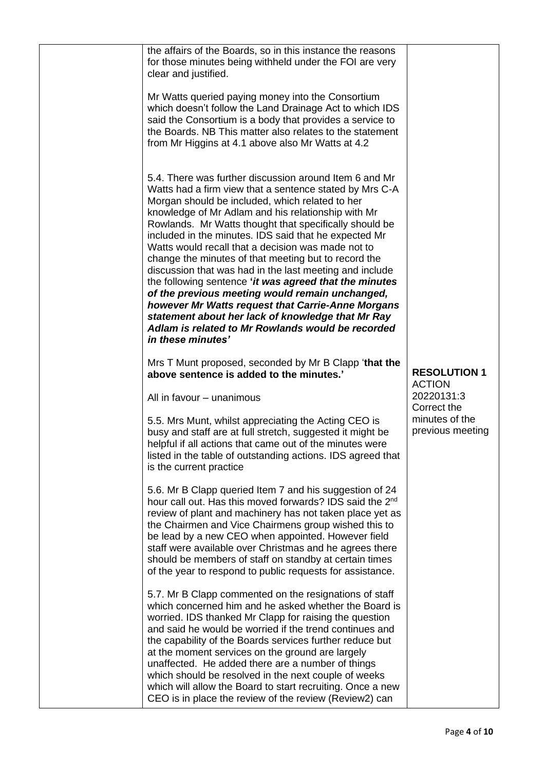| the affairs of the Boards, so in this instance the reasons<br>for those minutes being withheld under the FOI are very<br>clear and justified.                                                                                                                                                                                                                                                                                                                                                                                                                                                                                                                                                                                                                                                                           |                                      |
|-------------------------------------------------------------------------------------------------------------------------------------------------------------------------------------------------------------------------------------------------------------------------------------------------------------------------------------------------------------------------------------------------------------------------------------------------------------------------------------------------------------------------------------------------------------------------------------------------------------------------------------------------------------------------------------------------------------------------------------------------------------------------------------------------------------------------|--------------------------------------|
| Mr Watts queried paying money into the Consortium<br>which doesn't follow the Land Drainage Act to which IDS<br>said the Consortium is a body that provides a service to<br>the Boards. NB This matter also relates to the statement<br>from Mr Higgins at 4.1 above also Mr Watts at 4.2                                                                                                                                                                                                                                                                                                                                                                                                                                                                                                                               |                                      |
| 5.4. There was further discussion around Item 6 and Mr<br>Watts had a firm view that a sentence stated by Mrs C-A<br>Morgan should be included, which related to her<br>knowledge of Mr Adlam and his relationship with Mr<br>Rowlands. Mr Watts thought that specifically should be<br>included in the minutes. IDS said that he expected Mr<br>Watts would recall that a decision was made not to<br>change the minutes of that meeting but to record the<br>discussion that was had in the last meeting and include<br>the following sentence 'it was agreed that the minutes<br>of the previous meeting would remain unchanged,<br>however Mr Watts request that Carrie-Anne Morgans<br>statement about her lack of knowledge that Mr Ray<br>Adlam is related to Mr Rowlands would be recorded<br>in these minutes' |                                      |
| Mrs T Munt proposed, seconded by Mr B Clapp 'that the<br>above sentence is added to the minutes.'                                                                                                                                                                                                                                                                                                                                                                                                                                                                                                                                                                                                                                                                                                                       | <b>RESOLUTION 1</b><br><b>ACTION</b> |
| All in favour - unanimous                                                                                                                                                                                                                                                                                                                                                                                                                                                                                                                                                                                                                                                                                                                                                                                               | 20220131:3<br>Correct the            |
| 5.5. Mrs Munt, whilst appreciating the Acting CEO is<br>busy and staff are at full stretch, suggested it might be<br>helpful if all actions that came out of the minutes were<br>listed in the table of outstanding actions. IDS agreed that<br>is the current practice                                                                                                                                                                                                                                                                                                                                                                                                                                                                                                                                                 | minutes of the<br>previous meeting   |
| 5.6. Mr B Clapp queried Item 7 and his suggestion of 24<br>hour call out. Has this moved forwards? IDS said the 2 <sup>nd</sup><br>review of plant and machinery has not taken place yet as<br>the Chairmen and Vice Chairmens group wished this to<br>be lead by a new CEO when appointed. However field<br>staff were available over Christmas and he agrees there<br>should be members of staff on standby at certain times<br>of the year to respond to public requests for assistance.                                                                                                                                                                                                                                                                                                                             |                                      |
| 5.7. Mr B Clapp commented on the resignations of staff<br>which concerned him and he asked whether the Board is<br>worried. IDS thanked Mr Clapp for raising the question<br>and said he would be worried if the trend continues and<br>the capability of the Boards services further reduce but<br>at the moment services on the ground are largely<br>unaffected. He added there are a number of things<br>which should be resolved in the next couple of weeks<br>which will allow the Board to start recruiting. Once a new<br>CEO is in place the review of the review (Review2) can                                                                                                                                                                                                                               |                                      |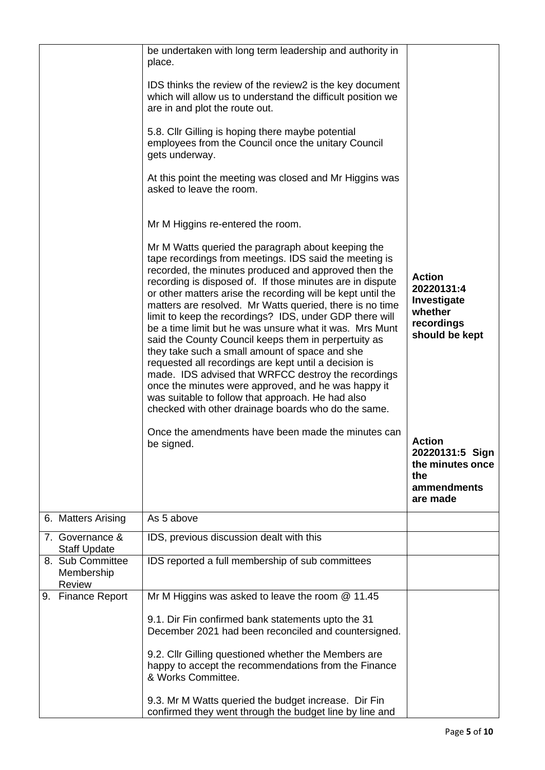|                                          | be undertaken with long term leadership and authority in<br>place.<br>IDS thinks the review of the review2 is the key document<br>which will allow us to understand the difficult position we<br>are in and plot the route out.<br>5.8. Cllr Gilling is hoping there maybe potential<br>employees from the Council once the unitary Council<br>gets underway.<br>At this point the meeting was closed and Mr Higgins was<br>asked to leave the room.                                                                                                                                                                                                                                                                                                                                                                                                                                                                                                                                     |                                                                                                                                               |
|------------------------------------------|------------------------------------------------------------------------------------------------------------------------------------------------------------------------------------------------------------------------------------------------------------------------------------------------------------------------------------------------------------------------------------------------------------------------------------------------------------------------------------------------------------------------------------------------------------------------------------------------------------------------------------------------------------------------------------------------------------------------------------------------------------------------------------------------------------------------------------------------------------------------------------------------------------------------------------------------------------------------------------------|-----------------------------------------------------------------------------------------------------------------------------------------------|
|                                          | Mr M Higgins re-entered the room.<br>Mr M Watts queried the paragraph about keeping the<br>tape recordings from meetings. IDS said the meeting is<br>recorded, the minutes produced and approved then the<br>recording is disposed of. If those minutes are in dispute<br>or other matters arise the recording will be kept until the<br>matters are resolved. Mr Watts queried, there is no time<br>limit to keep the recordings? IDS, under GDP there will<br>be a time limit but he was unsure what it was. Mrs Munt<br>said the County Council keeps them in perpertuity as<br>they take such a small amount of space and she<br>requested all recordings are kept until a decision is<br>made. IDS advised that WRFCC destroy the recordings<br>once the minutes were approved, and he was happy it<br>was suitable to follow that approach. He had also<br>checked with other drainage boards who do the same.<br>Once the amendments have been made the minutes can<br>be signed. | <b>Action</b><br>20220131:4<br>Investigate<br>whether<br>recordings<br>should be kept<br><b>Action</b><br>20220131:5 Sign<br>the minutes once |
|                                          |                                                                                                                                                                                                                                                                                                                                                                                                                                                                                                                                                                                                                                                                                                                                                                                                                                                                                                                                                                                          | the<br>ammendments<br>are made                                                                                                                |
| 6. Matters Arising                       | As 5 above                                                                                                                                                                                                                                                                                                                                                                                                                                                                                                                                                                                                                                                                                                                                                                                                                                                                                                                                                                               |                                                                                                                                               |
| 7. Governance &<br><b>Staff Update</b>   | IDS, previous discussion dealt with this                                                                                                                                                                                                                                                                                                                                                                                                                                                                                                                                                                                                                                                                                                                                                                                                                                                                                                                                                 |                                                                                                                                               |
| 8. Sub Committee<br>Membership<br>Review | IDS reported a full membership of sub committees                                                                                                                                                                                                                                                                                                                                                                                                                                                                                                                                                                                                                                                                                                                                                                                                                                                                                                                                         |                                                                                                                                               |
| 9. Finance Report                        | Mr M Higgins was asked to leave the room $@$ 11.45<br>9.1. Dir Fin confirmed bank statements upto the 31<br>December 2021 had been reconciled and countersigned.<br>9.2. Cllr Gilling questioned whether the Members are<br>happy to accept the recommendations from the Finance<br>& Works Committee.<br>9.3. Mr M Watts queried the budget increase. Dir Fin<br>confirmed they went through the budget line by line and                                                                                                                                                                                                                                                                                                                                                                                                                                                                                                                                                                |                                                                                                                                               |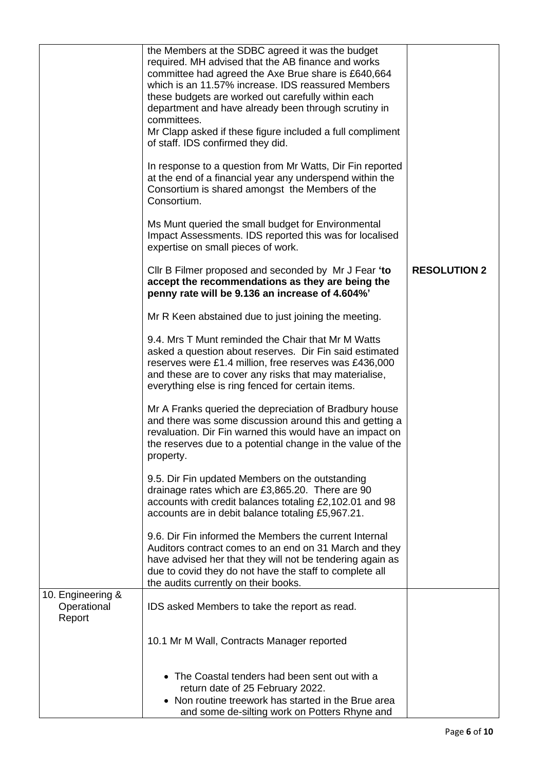|                                            | the Members at the SDBC agreed it was the budget<br>required. MH advised that the AB finance and works<br>committee had agreed the Axe Brue share is £640,664<br>which is an 11.57% increase. IDS reassured Members<br>these budgets are worked out carefully within each<br>department and have already been through scrutiny in<br>committees.<br>Mr Clapp asked if these figure included a full compliment<br>of staff. IDS confirmed they did.<br>In response to a question from Mr Watts, Dir Fin reported<br>at the end of a financial year any underspend within the<br>Consortium is shared amongst the Members of the<br>Consortium.<br>Ms Munt queried the small budget for Environmental<br>Impact Assessments. IDS reported this was for localised |                     |
|--------------------------------------------|----------------------------------------------------------------------------------------------------------------------------------------------------------------------------------------------------------------------------------------------------------------------------------------------------------------------------------------------------------------------------------------------------------------------------------------------------------------------------------------------------------------------------------------------------------------------------------------------------------------------------------------------------------------------------------------------------------------------------------------------------------------|---------------------|
|                                            | expertise on small pieces of work.<br>Cllr B Filmer proposed and seconded by Mr J Fear 'to<br>accept the recommendations as they are being the<br>penny rate will be 9.136 an increase of 4.604%'                                                                                                                                                                                                                                                                                                                                                                                                                                                                                                                                                              | <b>RESOLUTION 2</b> |
|                                            | Mr R Keen abstained due to just joining the meeting.                                                                                                                                                                                                                                                                                                                                                                                                                                                                                                                                                                                                                                                                                                           |                     |
|                                            | 9.4. Mrs T Munt reminded the Chair that Mr M Watts<br>asked a question about reserves. Dir Fin said estimated<br>reserves were £1.4 million, free reserves was £436,000<br>and these are to cover any risks that may materialise,<br>everything else is ring fenced for certain items.                                                                                                                                                                                                                                                                                                                                                                                                                                                                         |                     |
|                                            | Mr A Franks queried the depreciation of Bradbury house<br>and there was some discussion around this and getting a<br>revaluation. Dir Fin warned this would have an impact on<br>the reserves due to a potential change in the value of the<br>property.                                                                                                                                                                                                                                                                                                                                                                                                                                                                                                       |                     |
|                                            | 9.5. Dir Fin updated Members on the outstanding<br>drainage rates which are £3,865.20. There are 90<br>accounts with credit balances totaling £2,102.01 and 98<br>accounts are in debit balance totaling £5,967.21.                                                                                                                                                                                                                                                                                                                                                                                                                                                                                                                                            |                     |
|                                            | 9.6. Dir Fin informed the Members the current Internal<br>Auditors contract comes to an end on 31 March and they<br>have advised her that they will not be tendering again as<br>due to covid they do not have the staff to complete all<br>the audits currently on their books.                                                                                                                                                                                                                                                                                                                                                                                                                                                                               |                     |
| 10. Engineering &<br>Operational<br>Report | IDS asked Members to take the report as read.                                                                                                                                                                                                                                                                                                                                                                                                                                                                                                                                                                                                                                                                                                                  |                     |
|                                            | 10.1 Mr M Wall, Contracts Manager reported                                                                                                                                                                                                                                                                                                                                                                                                                                                                                                                                                                                                                                                                                                                     |                     |
|                                            | • The Coastal tenders had been sent out with a<br>return date of 25 February 2022.<br>• Non routine treework has started in the Brue area<br>and some de-silting work on Potters Rhyne and                                                                                                                                                                                                                                                                                                                                                                                                                                                                                                                                                                     |                     |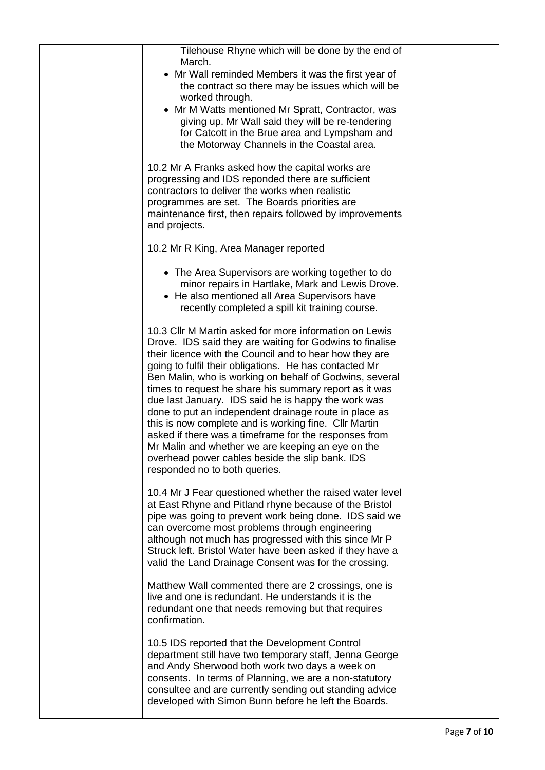| Tilehouse Rhyne which will be done by the end of<br>March.<br>• Mr Wall reminded Members it was the first year of<br>the contract so there may be issues which will be<br>worked through.<br>• Mr M Watts mentioned Mr Spratt, Contractor, was<br>giving up. Mr Wall said they will be re-tendering<br>for Catcott in the Brue area and Lympsham and<br>the Motorway Channels in the Coastal area.                                                                                                                                                                                                                                                                                                                                      |  |
|-----------------------------------------------------------------------------------------------------------------------------------------------------------------------------------------------------------------------------------------------------------------------------------------------------------------------------------------------------------------------------------------------------------------------------------------------------------------------------------------------------------------------------------------------------------------------------------------------------------------------------------------------------------------------------------------------------------------------------------------|--|
| 10.2 Mr A Franks asked how the capital works are<br>progressing and IDS reponded there are sufficient<br>contractors to deliver the works when realistic<br>programmes are set. The Boards priorities are<br>maintenance first, then repairs followed by improvements<br>and projects.                                                                                                                                                                                                                                                                                                                                                                                                                                                  |  |
| 10.2 Mr R King, Area Manager reported                                                                                                                                                                                                                                                                                                                                                                                                                                                                                                                                                                                                                                                                                                   |  |
| • The Area Supervisors are working together to do<br>minor repairs in Hartlake, Mark and Lewis Drove.<br>• He also mentioned all Area Supervisors have<br>recently completed a spill kit training course.                                                                                                                                                                                                                                                                                                                                                                                                                                                                                                                               |  |
| 10.3 Cllr M Martin asked for more information on Lewis<br>Drove. IDS said they are waiting for Godwins to finalise<br>their licence with the Council and to hear how they are<br>going to fulfil their obligations. He has contacted Mr<br>Ben Malin, who is working on behalf of Godwins, several<br>times to request he share his summary report as it was<br>due last January. IDS said he is happy the work was<br>done to put an independent drainage route in place as<br>this is now complete and is working fine. Cllr Martin<br>asked if there was a timeframe for the responses from<br>Mr Malin and whether we are keeping an eye on the<br>overhead power cables beside the slip bank. IDS<br>responded no to both queries. |  |
| 10.4 Mr J Fear questioned whether the raised water level<br>at East Rhyne and Pitland rhyne because of the Bristol<br>pipe was going to prevent work being done. IDS said we<br>can overcome most problems through engineering<br>although not much has progressed with this since Mr P<br>Struck left. Bristol Water have been asked if they have a<br>valid the Land Drainage Consent was for the crossing.                                                                                                                                                                                                                                                                                                                           |  |
| Matthew Wall commented there are 2 crossings, one is<br>live and one is redundant. He understands it is the<br>redundant one that needs removing but that requires<br>confirmation.                                                                                                                                                                                                                                                                                                                                                                                                                                                                                                                                                     |  |
| 10.5 IDS reported that the Development Control<br>department still have two temporary staff, Jenna George<br>and Andy Sherwood both work two days a week on<br>consents. In terms of Planning, we are a non-statutory<br>consultee and are currently sending out standing advice<br>developed with Simon Bunn before he left the Boards.                                                                                                                                                                                                                                                                                                                                                                                                |  |
|                                                                                                                                                                                                                                                                                                                                                                                                                                                                                                                                                                                                                                                                                                                                         |  |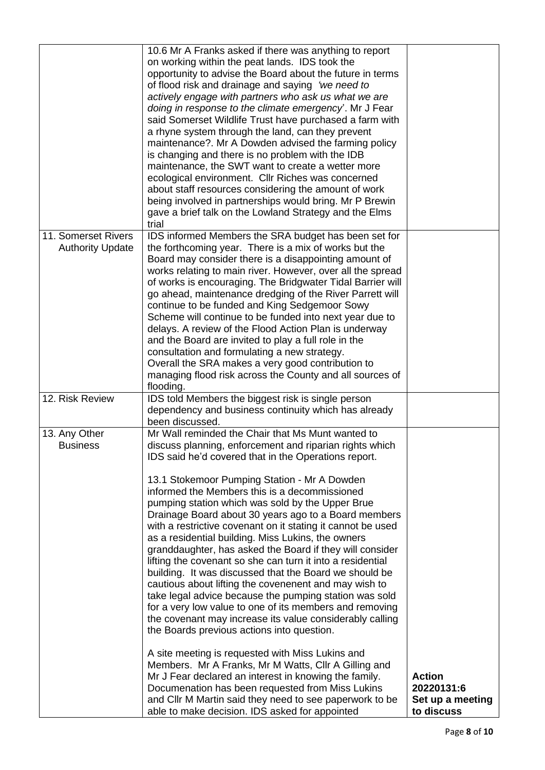|                                                | 10.6 Mr A Franks asked if there was anything to report<br>on working within the peat lands. IDS took the<br>opportunity to advise the Board about the future in terms<br>of flood risk and drainage and saying 'we need to<br>actively engage with partners who ask us what we are<br>doing in response to the climate emergency'. Mr J Fear<br>said Somerset Wildlife Trust have purchased a farm with<br>a rhyne system through the land, can they prevent<br>maintenance?. Mr A Dowden advised the farming policy<br>is changing and there is no problem with the IDB<br>maintenance, the SWT want to create a wetter more<br>ecological environment. Cllr Riches was concerned<br>about staff resources considering the amount of work<br>being involved in partnerships would bring. Mr P Brewin<br>gave a brief talk on the Lowland Strategy and the Elms<br>trial                                                                                                                                                                                                                                                                                                                                                                                                                                                 |                                                               |
|------------------------------------------------|--------------------------------------------------------------------------------------------------------------------------------------------------------------------------------------------------------------------------------------------------------------------------------------------------------------------------------------------------------------------------------------------------------------------------------------------------------------------------------------------------------------------------------------------------------------------------------------------------------------------------------------------------------------------------------------------------------------------------------------------------------------------------------------------------------------------------------------------------------------------------------------------------------------------------------------------------------------------------------------------------------------------------------------------------------------------------------------------------------------------------------------------------------------------------------------------------------------------------------------------------------------------------------------------------------------------------|---------------------------------------------------------------|
| 11. Somerset Rivers<br><b>Authority Update</b> | IDS informed Members the SRA budget has been set for<br>the forthcoming year. There is a mix of works but the<br>Board may consider there is a disappointing amount of<br>works relating to main river. However, over all the spread<br>of works is encouraging. The Bridgwater Tidal Barrier will<br>go ahead, maintenance dredging of the River Parrett will<br>continue to be funded and King Sedgemoor Sowy<br>Scheme will continue to be funded into next year due to<br>delays. A review of the Flood Action Plan is underway<br>and the Board are invited to play a full role in the<br>consultation and formulating a new strategy.<br>Overall the SRA makes a very good contribution to<br>managing flood risk across the County and all sources of<br>flooding.                                                                                                                                                                                                                                                                                                                                                                                                                                                                                                                                                |                                                               |
| 12. Risk Review                                | IDS told Members the biggest risk is single person<br>dependency and business continuity which has already<br>been discussed.                                                                                                                                                                                                                                                                                                                                                                                                                                                                                                                                                                                                                                                                                                                                                                                                                                                                                                                                                                                                                                                                                                                                                                                            |                                                               |
| 13. Any Other<br><b>Business</b>               | Mr Wall reminded the Chair that Ms Munt wanted to<br>discuss planning, enforcement and riparian rights which<br>IDS said he'd covered that in the Operations report.<br>13.1 Stokemoor Pumping Station - Mr A Dowden<br>informed the Members this is a decommissioned<br>pumping station which was sold by the Upper Brue<br>Drainage Board about 30 years ago to a Board members<br>with a restrictive covenant on it stating it cannot be used<br>as a residential building. Miss Lukins, the owners<br>granddaughter, has asked the Board if they will consider<br>lifting the covenant so she can turn it into a residential<br>building. It was discussed that the Board we should be<br>cautious about lifting the covenenent and may wish to<br>take legal advice because the pumping station was sold<br>for a very low value to one of its members and removing<br>the covenant may increase its value considerably calling<br>the Boards previous actions into question.<br>A site meeting is requested with Miss Lukins and<br>Members. Mr A Franks, Mr M Watts, Cllr A Gilling and<br>Mr J Fear declared an interest in knowing the family.<br>Documenation has been requested from Miss Lukins<br>and Cllr M Martin said they need to see paperwork to be<br>able to make decision. IDS asked for appointed | <b>Action</b><br>20220131:6<br>Set up a meeting<br>to discuss |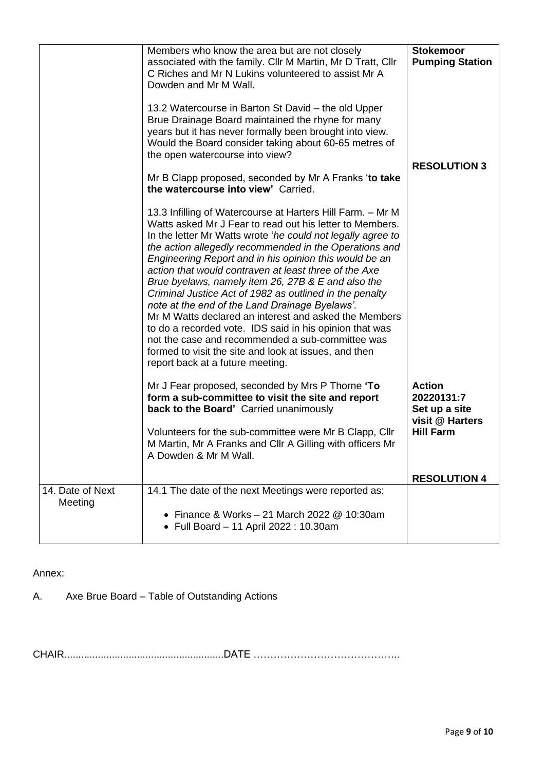|                             | Members who know the area but are not closely<br>associated with the family. Cllr M Martin, Mr D Tratt, Cllr<br>C Riches and Mr N Lukins volunteered to assist Mr A<br>Dowden and Mr M Wall.<br>13.2 Watercourse in Barton St David – the old Upper<br>Brue Drainage Board maintained the rhyne for many<br>years but it has never formally been brought into view.<br>Would the Board consider taking about 60-65 metres of<br>the open watercourse into view?<br>Mr B Clapp proposed, seconded by Mr A Franks 'to take<br>the watercourse into view' Carried.<br>13.3 Infilling of Watercourse at Harters Hill Farm. - Mr M<br>Watts asked Mr J Fear to read out his letter to Members.<br>In the letter Mr Watts wrote 'he could not legally agree to<br>the action allegedly recommended in the Operations and<br>Engineering Report and in his opinion this would be an<br>action that would contraven at least three of the Axe<br>Brue byelaws, namely item 26, 27B & E and also the<br>Criminal Justice Act of 1982 as outlined in the penalty<br>note at the end of the Land Drainage Byelaws'.<br>Mr M Watts declared an interest and asked the Members<br>to do a recorded vote. IDS said in his opinion that was<br>not the case and recommended a sub-committee was<br>formed to visit the site and look at issues, and then<br>report back at a future meeting. | <b>Stokemoor</b><br><b>Pumping Station</b><br><b>RESOLUTION 3</b>                   |
|-----------------------------|-------------------------------------------------------------------------------------------------------------------------------------------------------------------------------------------------------------------------------------------------------------------------------------------------------------------------------------------------------------------------------------------------------------------------------------------------------------------------------------------------------------------------------------------------------------------------------------------------------------------------------------------------------------------------------------------------------------------------------------------------------------------------------------------------------------------------------------------------------------------------------------------------------------------------------------------------------------------------------------------------------------------------------------------------------------------------------------------------------------------------------------------------------------------------------------------------------------------------------------------------------------------------------------------------------------------------------------------------------------------------------|-------------------------------------------------------------------------------------|
|                             | Mr J Fear proposed, seconded by Mrs P Thorne 'To<br>form a sub-committee to visit the site and report<br>back to the Board' Carried unanimously<br>Volunteers for the sub-committee were Mr B Clapp, Cllr<br>M Martin, Mr A Franks and Cllr A Gilling with officers Mr<br>A Dowden & Mr M Wall.                                                                                                                                                                                                                                                                                                                                                                                                                                                                                                                                                                                                                                                                                                                                                                                                                                                                                                                                                                                                                                                                               | <b>Action</b><br>20220131:7<br>Set up a site<br>visit @ Harters<br><b>Hill Farm</b> |
|                             |                                                                                                                                                                                                                                                                                                                                                                                                                                                                                                                                                                                                                                                                                                                                                                                                                                                                                                                                                                                                                                                                                                                                                                                                                                                                                                                                                                               | <b>RESOLUTION 4</b>                                                                 |
| 14. Date of Next<br>Meeting | 14.1 The date of the next Meetings were reported as:<br>• Finance & Works $-21$ March 2022 @ 10:30am<br>• Full Board - 11 April 2022 : 10.30am                                                                                                                                                                                                                                                                                                                                                                                                                                                                                                                                                                                                                                                                                                                                                                                                                                                                                                                                                                                                                                                                                                                                                                                                                                |                                                                                     |

Annex:

A. Axe Brue Board – Table of Outstanding Actions

CHAIR.........................................................DATE ……………………………………..